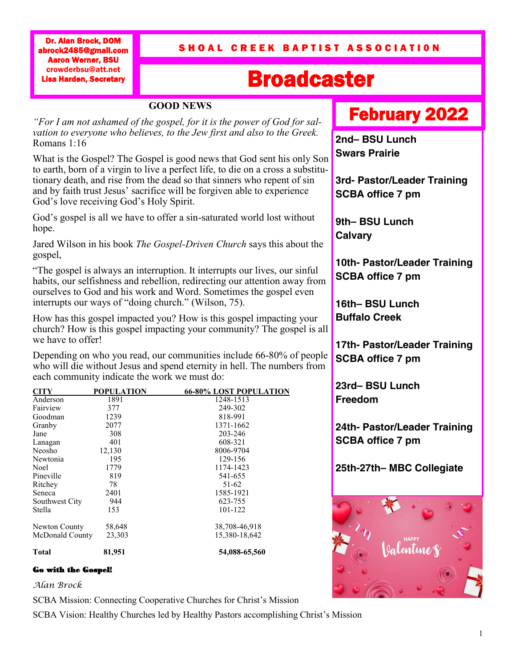Dr. Alan Brock, DOM abrock2485@gmail.com Aaron Werner, BSU crowderbsu@att.net Lisa Harden, Secretary

## SHOAL CREEK BAPTIST ASSOCIATION

# Broadcaster

### **GOOD NEWS**

*"For I am not ashamed of the gospel, for it is the power of God for salvation to everyone who believes, to the Jew first and also to the Greek.*  Romans 1:16

What is the Gospel? The Gospel is good news that God sent his only Son to earth, born of a virgin to live a perfect life, to die on a cross a substitutionary death, and rise from the dead so that sinners who repent of sin and by faith trust Jesus' sacrifice will be forgiven able to experience God's love receiving God's Holy Spirit.

God's gospel is all we have to offer a sin-saturated world lost without hope.

Jared Wilson in his book *The Gospel-Driven Church* says this about the gospel,

"The gospel is always an interruption. It interrupts our lives, our sinful habits, our selfishness and rebellion, redirecting our attention away from ourselves to God and his work and Word. Sometimes the gospel even interrupts our ways of "doing church." (Wilson, 75).

How has this gospel impacted you? How is this gospel impacting your church? How is this gospel impacting your community? The gospel is all we have to offer!

Depending on who you read, our communities include 66-80% of people who will die without Jesus and spend eternity in hell. The numbers from each community indicate the work we must do:

| <b>CITY</b>     | POPULATION | <b>66-80% LOST POPULATION</b> |
|-----------------|------------|-------------------------------|
| Anderson        | 1891       | 1248-1513                     |
| Fairview        | 377        | 249-302                       |
| Goodman         | 1239       | 818-991                       |
| Granby          | 2077       | 1371-1662                     |
| Jane            | 308        | 203-246                       |
| Lanagan         | 401        | 608-321                       |
| Neosho          | 12,130     | 8006-9704                     |
| Newtonia        | 195        | 129-156                       |
| Noel            | 1779       | 1174-1423                     |
| Pineville       | 819        | 541-655                       |
| Ritchey         | 78         | 51-62                         |
| Seneca          | 2401       | 1585-1921                     |
| Southwest City  | 944        | 623-755                       |
| Stella          | 153        | 101-122                       |
| Newton County   | 58,648     | 38,708-46,918                 |
| McDonald County | 23,303     | 15,380-18,642                 |
| Total           | 81,951     | 54,088-65,560                 |

### Go with the Gospel!

*Alan Brock*

SCBA Mission: Connecting Cooperative Churches for Christ's Mission

SCBA Vision: Healthy Churches led by Healthy Pastors accomplishing Christ's Mission

# February 2022

**2nd– BSU Lunch Swars Prairie** 

**3rd- Pastor/Leader Training SCBA office 7 pm**

**9th– BSU Lunch Calvary**

**10th- Pastor/Leader Training SCBA office 7 pm**

**16th– BSU Lunch Buffalo Creek**

**17th- Pastor/Leader Training SCBA office 7 pm**

**23rd– BSU Lunch Freedom**

**24th- Pastor/Leader Training SCBA office 7 pm**

**25th-27th– MBC Collegiate**

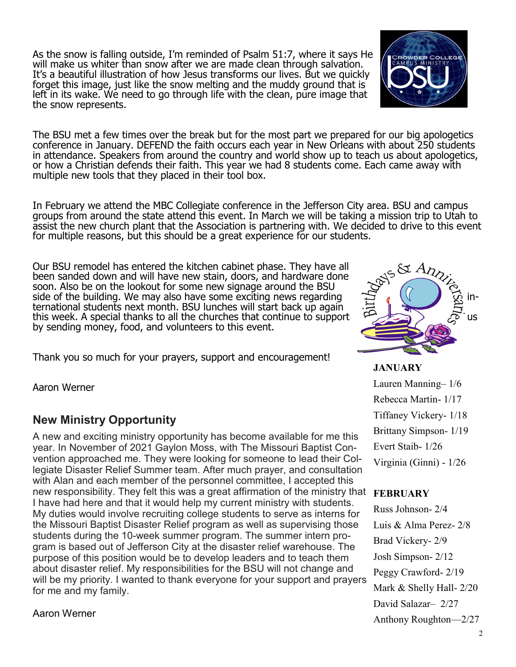As the snow is falling outside, I'm reminded of Psalm 51:7, where it says He will make us whiter than snow after we are made clean through salvation. It's a beautiful illustration of how Jesus transforms our lives. But we quickly forget this image, just like the snow melting and the muddy ground that is left in its wake. We need to go through life with the clean, pure image that the snow represents.

The BSU met a few times over the break but for the most part we prepared for our big apologetics conference in January. DEFEND the faith occurs each year in New Orleans with about 250 students in attendance. Speakers from around the country and world show up to teach us about apologetics, or how a Christian defends their faith. This year we had 8 students come. Each came away with multiple new tools that they placed in their tool box.

In February we attend the MBC Collegiate conference in the Jefferson City area. BSU and campus groups from around the state attend this event. In March we will be taking a mission trip to Utah to assist the new church plant that the Association is partnering with. We decided to drive to this event for multiple reasons, but this should be a great experience for our students.

Our BSU remodel has entered the kitchen cabinet phase. They have all been sanded down and will have new stain, doors, and hardware done soon. Also be on the lookout for some new signage around the BSU side of the building. We may also have some exciting news regarding  $\Box$  (1) ternational students next month. BSU lunches will start back up again this week. A special thanks to all the churches that continue to support  $\mathbb{Z}$  is by sending money, food, and volunteers to this event.

Thank you so much for your prayers, support and encouragement!

Aaron Werner

## **New Ministry Opportunity**

A new and exciting ministry opportunity has become available for me this year. In November of 2021 Gaylon Moss, with The Missouri Baptist Convention approached me. They were looking for someone to lead their Collegiate Disaster Relief Summer team. After much prayer, and consultation with Alan and each member of the personnel committee, I accepted this new responsibility. They felt this was a great affirmation of the ministry that **FEBRUARY**  I have had here and that it would help my current ministry with students. My duties would involve recruiting college students to serve as interns for the Missouri Baptist Disaster Relief program as well as supervising those students during the 10-week summer program. The summer intern program is based out of Jefferson City at the disaster relief warehouse. The purpose of this position would be to develop leaders and to teach them about disaster relief. My responsibilities for the BSU will not change and will be my priority. I wanted to thank everyone for your support and prayers for me and my family.

Aaron Werner

**JANUARY**  Lauren Manning– 1/6 Rebecca Martin- 1/17 Tiffaney Vickery- 1/18 Brittany Simpson- 1/19 Evert Staib- 1/26 Virginia (Ginni) - 1/26

Russ Johnson- 2/4 Luis & Alma Perez- 2/8 Brad Vickery- 2/9 Josh Simpson- 2/12 Peggy Crawford- 2/19 Mark & Shelly Hall- 2/20 David Salazar– 2/27 Anthony Roughton—2/27



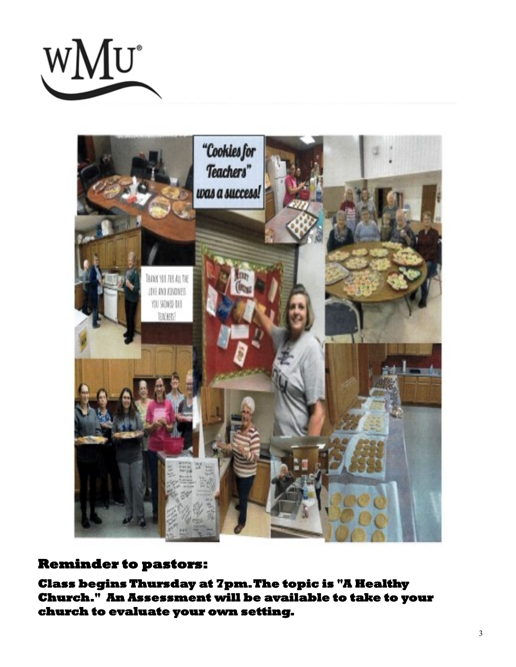



## **Reminder to pastors:**

**Class begins Thursday at 7pm. The topic is "A Healthy Church." An Assessment will be available to take to your church to evaluate your own setting.**